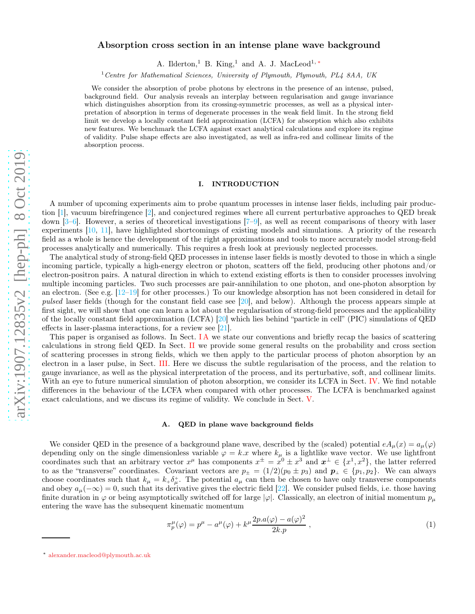# Absorption cross section in an intense plane wave background

A. Ilderton,<sup>1</sup> B. King,<sup>1</sup> and A. J. MacLeod<sup>1,\*</sup>

<sup>1</sup>*Centre for Mathematical Sciences, University of Plymouth, Plymouth, PL4 8AA, UK*

We consider the absorption of probe photons by electrons in the presence of an intense, pulsed, background field. Our analysis reveals an interplay between regularisation and gauge invariance which distinguishes absorption from its crossing-symmetric processes, as well as a physical interpretation of absorption in terms of degenerate processes in the weak field limit. In the strong field limit we develop a locally constant field approximation (LCFA) for absorption which also exhibits new features. We benchmark the LCFA against exact analytical calculations and explore its regime of validity. Pulse shape effects are also investigated, as well as infra-red and collinear limits of the absorption process.

# I. INTRODUCTION

A number of upcoming experiments aim to probe quantum processes in intense laser fields, including pair production [\[1](#page-13-0)], vacuum birefringence [\[2](#page-13-1)], and conjectured regimes where all current perturbative approaches to QED break down  $[3-6]$ . However, a series of theoretical investigations  $[7-9]$ , as well as recent comparisons of theory with laser experiments [\[10](#page-13-6), [11\]](#page-13-7), have highlighted shortcomings of existing models and simulations. A priority of the research field as a whole is hence the development of the right approximations and tools to more accurately model strong-field processes analytically and numerically. This requires a fresh look at previously neglected processes.

The analytical study of strong-field QED processes in intense laser fields is mostly devoted to those in which a single incoming particle, typically a high-energy electron or photon, scatters off the field, producing other photons and/or electron-positron pairs. A natural direction in which to extend existing efforts is then to consider processes involving multiple incoming particles. Two such processes are pair-annihilation to one photon, and one-photon absorption by an electron. (See e.g.  $[12-19]$  for other processes.) To our knowledge absorption has not been considered in detail for pulsed laser fields (though for the constant field case see [\[20](#page-13-10)], and below). Although the process appears simple at first sight, we will show that one can learn a lot about the regularisation of strong-field processes and the applicability of the locally constant field approximation (LCFA) [\[20](#page-13-10)] which lies behind "particle in cell" (PIC) simulations of QED effects in laser-plasma interactions, for a review see [\[21\]](#page-13-11).

This paper is organised as follows. In Sect. IA we state our conventions and briefly recap the basics of scattering calculations in strong field QED. In Sect. [II](#page-1-0) we provide some general results on the probability and cross section of scattering processes in strong fields, which we then apply to the particular process of photon absorption by an electron in a laser pulse, in Sect. [III.](#page-2-0) Here we discuss the subtle regularisation of the process, and the relation to gauge invariance, as well as the physical interpretation of the process, and its perturbative, soft, and collinear limits. With an eye to future numerical simulation of photon absorption, we consider its LCFA in Sect. [IV.](#page-6-0) We find notable differences in the behaviour of the LCFA when compared with other processes. The LCFA is benchmarked against exact calculations, and we discuss its regime of validity. We conclude in Sect. [V.](#page-12-0)

#### <span id="page-0-1"></span>A. QED in plane wave background fields

We consider QED in the presence of a background plane wave, described by the (scaled) potential  $eA_\mu(x) = a_\mu(\varphi)$ depending only on the single dimensionless variable  $\varphi = k.x$  where  $k_{\mu}$  is a lightlike wave vector. We use lightfront coordinates such that an arbitrary vector  $x^{\mu}$  has components  $x^{\pm} = x^0 \pm x^3$  and  $x^{\pm} \in \{x^1, x^2\}$ , the latter referred to as the "transverse" coordinates. Covariant vectors are  $p_{\pm} = (1/2)(p_0 \pm p_3)$  and  $p_{\perp} \in \{p_1, p_2\}$ . We can always choose coordinates such that  $k_{\mu} = k_{+} \delta_{\mu}^{+}$ . The potential  $a_{\mu}$  can then be chosen to have only transverse components and obey  $a_{\mu}(-\infty) = 0$ , such that its derivative gives the electric field [\[22\]](#page-13-12). We consider pulsed fields, i.e. those having finite duration in  $\varphi$  or being asymptotically switched off for large  $|\varphi|$ . Classically, an electron of initial momentum  $p_\mu$ entering the wave has the subsequent kinematic momentum

<span id="page-0-2"></span>
$$
\pi_p^{\mu}(\varphi) = p^{\mu} - a^{\mu}(\varphi) + k^{\mu} \frac{2p \cdot a(\varphi) - a(\varphi)^2}{2k \cdot p} , \qquad (1)
$$

<span id="page-0-0"></span><sup>∗</sup> [alexander.macleod@plymouth.ac.uk](mailto:alexander.macleod@plymouth.ac.uk)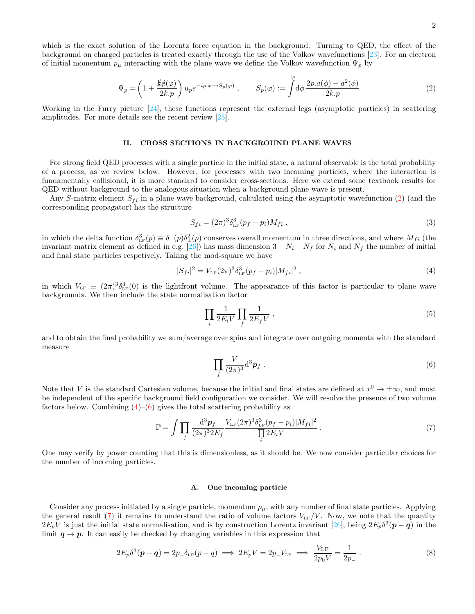which is the exact solution of the Lorentz force equation in the background. Turning to QED, the effect of the background on charged particles is treated exactly through the use of the Volkov wavefunctions [\[23](#page-13-13)]. For an electron of initial momentum  $p_{\mu}$  interacting with the plane wave we define the Volkov wavefunction  $\Psi_p$  by

$$
\Psi_p = \left(1 + \frac{k\phi(\varphi)}{2k.p}\right) u_p e^{-ip.x - iS_p(\varphi)} , \qquad S_p(\varphi) := \int d\varphi \, \frac{2p.a(\phi) - a^2(\phi)}{2k.p} \tag{2}
$$

Working in the Furry picture [\[24\]](#page-13-14), these functions represent the external legs (asymptotic particles) in scattering amplitudes. For more details see the recent review [\[25](#page-13-15)].

#### <span id="page-1-0"></span>II. CROSS SECTIONS IN BACKGROUND PLANE WAVES

For strong field QED processes with a single particle in the initial state, a natural observable is the total probability of a process, as we review below. However, for processes with two incoming particles, where the interaction is fundamentally collisional, it is more standard to consider cross-sections. Here we extend some textbook results for QED without background to the analogous situation when a background plane wave is present.

Any S-matrix element  $S_{fi}$  in a plane wave background, calculated using the asymptotic wavefunction [\(2\)](#page-1-1) (and the corresponding propagator) has the structure

<span id="page-1-5"></span><span id="page-1-1"></span>
$$
S_{fi} = (2\pi)^3 \delta_{\text{LF}}^3 (p_f - p_i) M_{fi} \,, \tag{3}
$$

in which the delta function  $\delta^3_{LF}(p) \equiv \delta_{-}(p)\delta^2_{\perp}(p)$  conserves overall momentum in three directions, and where  $M_{fi}$  (the invariant matrix element as defined in e.g. [\[26\]](#page-13-16)) has mass dimension  $3 - N_i - N_f$  for  $N_i$  and  $N_f$  the number of initial and final state particles respetively. Taking the mod-square we have

<span id="page-1-2"></span>
$$
|S_{fi}|^2 = V_{LF}(2\pi)^3 \delta_{LF}^3(p_f - p_i) |M_{fi}|^2 , \qquad (4)
$$

in which  $V_{LF} \equiv (2\pi)^3 \delta_{LF}^3(0)$  is the lightfront volume. The appearance of this factor is particular to plane wave backgrounds. We then include the state normalisation factor

$$
\prod_{i} \frac{1}{2E_i V} \prod_{f} \frac{1}{2E_f V} , \qquad (5)
$$

and to obtain the final probability we sum/average over spins and integrate over outgoing momenta with the standard measure

<span id="page-1-3"></span>
$$
\prod_{f} \frac{V}{(2\pi)^3} \mathrm{d}^3 \boldsymbol{p}_f \; . \tag{6}
$$

Note that V is the standard Cartesian volume, because the initial and final states are defined at  $x^0 \to \pm \infty$ , and must be independent of the specific background field configuration we consider. We will resolve the presence of two volume factors below. Combining  $(4)$ – $(6)$  gives the total scattering probability as

<span id="page-1-4"></span>
$$
\mathbb{P} = \int \prod_{f} \frac{\mathrm{d}^3 p_f}{(2\pi)^3 2E_f} \frac{V_{\text{LF}}(2\pi)^3 \delta_{\text{LF}}^3 (p_f - p_i) |M_{fi}|^2}{\prod_{i} 2E_i V} \,. \tag{7}
$$

One may verify by power counting that this is dimensionless, as it should be. We now consider particular choices for the number of incoming particles.

# A. One incoming particle

Consider any process initiated by a single particle, momentum  $p_{\mu}$ , with any number of final state particles. Applying the general result [\(7\)](#page-1-4) it remains to understand the ratio of volume factors  $V_{LF}/V$ . Now, we note that the quantity  $2E_pV$  is just the initial state normalisation, and is by construction Lorentz invariant [\[26\]](#page-13-16), being  $2E_p\delta^3(p-q)$  in the limit  $q \to p$ . It can easily be checked by changing variables in this expression that

$$
2E_p \delta^3(\mathbf{p} - \mathbf{q}) = 2p_- \delta_{\text{LF}}(p - q) \implies 2E_p V = 2p_- V_{\text{LF}} \implies \frac{V_{\text{LF}}}{2p_0 V} = \frac{1}{2p_-} \,. \tag{8}
$$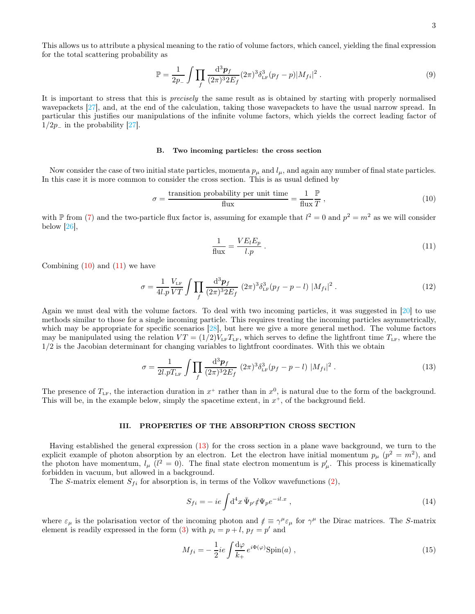3

This allows us to attribute a physical meaning to the ratio of volume factors, which cancel, yielding the final expression for the total scattering probability as

$$
\mathbb{P} = \frac{1}{2p_{-}} \int \prod_{f} \frac{\mathrm{d}^{3} p_{f}}{(2\pi)^{3} 2E_{f}} (2\pi)^{3} \delta_{\text{LF}}^{3} (p_{f} - p) |M_{fi}|^{2} . \tag{9}
$$

It is important to stress that this is precisely the same result as is obtained by starting with properly normalised wavepackets [\[27](#page-13-17)], and, at the end of the calculation, taking those wavepackets to have the usual narrow spread. In particular this justifies our manipulations of the infinite volume factors, which yields the correct leading factor of  $1/2p_$  in the probability [\[27\]](#page-13-17).

#### B. Two incoming particles: the cross section

Now consider the case of two initial state particles, momenta  $p_{\mu}$  and  $l_{\mu}$ , and again any number of final state particles. In this case it is more common to consider the cross section. This is as usual defined by

<span id="page-2-1"></span>
$$
\sigma = \frac{\text{transition probability per unit time}}{\text{flux}} = \frac{1}{\text{flux}} \frac{\mathbb{P}}{T} \,, \tag{10}
$$

with  $\mathbb P$  from [\(7\)](#page-1-4) and the two-particle flux factor is, assuming for example that  $l^2 = 0$  and  $p^2 = m^2$  as we will consider below  $|26|$ ,

<span id="page-2-2"></span>
$$
\frac{1}{\text{flux}} = \frac{VE_l E_p}{l.p} \,. \tag{11}
$$

Combining  $(10)$  and  $(11)$  we have

$$
\sigma = \frac{1}{4l.p} \frac{V_{\rm LF}}{VT} \int \prod_f \frac{\mathrm{d}^3 p_f}{(2\pi)^3 2E_f} (2\pi)^3 \delta_{\rm LF}^3(p_f - p - l) |M_{fi}|^2 \,. \tag{12}
$$

Again we must deal with the volume factors. To deal with two incoming particles, it was suggested in [\[20\]](#page-13-10) to use methods similar to those for a single incoming particle. This requires treating the incoming particles asymmetrically, which may be appropriate for specific scenarios [\[28\]](#page-13-18), but here we give a more general method. The volume factors may be manipulated using the relation  $VT = (1/2)V_{LF}T_{LF}$ , which serves to define the lightfront time  $T_{LF}$ , where the 1/2 is the Jacobian determinant for changing variables to lightfront coordinates. With this we obtain

<span id="page-2-3"></span>
$$
\sigma = \frac{1}{2l.pT_{LF}} \int \prod_{f} \frac{\mathrm{d}^3 p_f}{(2\pi)^3 2E_f} (2\pi)^3 \delta_{LF}^3(p_f - p - l) |M_{fi}|^2 \,. \tag{13}
$$

The presence of  $T_{LF}$ , the interaction duration in  $x^+$  rather than in  $x^0$ , is natural due to the form of the background. This will be, in the example below, simply the spacetime extent, in  $x^+$ , of the background field.

### <span id="page-2-0"></span>III. PROPERTIES OF THE ABSORPTION CROSS SECTION

Having established the general expression [\(13\)](#page-2-3) for the cross section in a plane wave background, we turn to the explicit example of photon absorption by an electron. Let the electron have initial momentum  $p_{\mu}$  ( $p^2 = m^2$ ), and the photon have momentum,  $l_{\mu}$  ( $l^2 = 0$ ). The final state electron momentum is  $p'_{\mu}$ . This process is kinematically forbidden in vacuum, but allowed in a background.

The S-matrix element  $S_{fi}$  for absorption is, in terms of the Volkov wavefunctions [\(2\)](#page-1-1),

<span id="page-2-4"></span>
$$
S_{fi} = -ie \int d^4x \,\overline{\Psi}_{p'} \notin \Psi_p e^{-il.x} \,, \tag{14}
$$

where  $\varepsilon_{\mu}$  is the polarisation vector of the incoming photon and  $\ell \equiv \gamma^{\mu} \varepsilon_{\mu}$  for  $\gamma^{\mu}$  the Dirac matrices. The S-matrix element is readily expressed in the form [\(3\)](#page-1-5) with  $p_i = p + l$ ,  $p_f = p'$  and

<span id="page-2-5"></span>
$$
M_{fi} = -\frac{1}{2}ie \int \frac{\mathrm{d}\varphi}{k_+} e^{i\Phi(\varphi)} \text{Spin}(a) , \qquad (15)
$$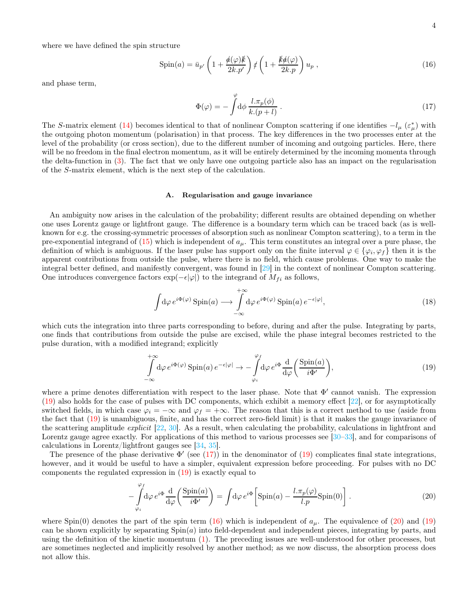where we have defined the spin structure

$$
\text{Spin}(a) = \bar{u}_{p'} \left( 1 + \frac{\phi(\varphi)k}{2k.p'} \right) \notin \left( 1 + \frac{k\phi(\varphi)}{2k.p} \right) u_p ,\qquad (16)
$$

and phase term,

<span id="page-3-2"></span><span id="page-3-1"></span>
$$
\Phi(\varphi) = -\int d\phi \, \frac{l \cdot \pi_p(\phi)}{k \cdot (p+l)} \,. \tag{17}
$$

The S-matrix element [\(14\)](#page-2-4) becomes identical to that of nonlinear Compton scattering if one identifies  $-l_{\mu}(\varepsilon_{\mu}^{*})$  with the outgoing photon momentum (polarisation) in that process. The key differences in the two processes enter at the level of the probability (or cross section), due to the different number of incoming and outgoing particles. Here, there will be no freedom in the final electron momentum, as it will be entirely determined by the incoming momenta through the delta-function in [\(3\)](#page-1-5). The fact that we only have one outgoing particle also has an impact on the regularisation of the S-matrix element, which is the next step of the calculation.

#### <span id="page-3-4"></span>A. Regularisation and gauge invariance

An ambiguity now arises in the calculation of the probability; different results are obtained depending on whether one uses Lorentz gauge or lightfront gauge. The difference is a boundary term which can be traced back (as is wellknown for e.g. the crossing-symmetric processes of absorption such as nonlinear Compton scattering), to a term in the pre-exponential integrand of  $(15)$  which is independent of  $a_\mu$ . This term constitutes an integral over a pure phase, the definition of which is ambiguous. If the laser pulse has support only on the finite interval  $\varphi \in {\varphi_i, \varphi_f}$  then it is the apparent contributions from outside the pulse, where there is no field, which cause problems. One way to make the integral better defined, and manifestly convergent, was found in [\[29](#page-13-19)] in the context of nonlinear Compton scattering. One introduces convergence factors  $\exp(-\epsilon |\varphi|)$  to the integrand of  $M_{fi}$  as follows,

$$
\int d\varphi \, e^{i\Phi(\varphi)} \operatorname{Spin}(a) \longrightarrow \int_{-\infty}^{+\infty} d\varphi \, e^{i\Phi(\varphi)} \operatorname{Spin}(a) \, e^{-\epsilon|\varphi|},\tag{18}
$$

which cuts the integration into three parts corresponding to before, during and after the pulse. Integrating by parts, one finds that contributions from outside the pulse are excised, while the phase integral becomes restricted to the pulse duration, with a modified integrand; explicitly

<span id="page-3-0"></span>
$$
\int_{-\infty}^{+\infty} d\varphi \, e^{i\Phi(\varphi)} \operatorname{Spin}(a) \, e^{-\epsilon|\varphi|} \to -\int_{\varphi_i}^{\varphi_f} d\varphi \, e^{i\Phi} \frac{d}{d\varphi} \left( \frac{\operatorname{Spin}(a)}{i\Phi'} \right),\tag{19}
$$

where a prime denotes differentiation with respect to the laser phase. Note that  $Φ'$  cannot vanish. The expression [\(19\)](#page-3-0) also holds for the case of pulses with DC components, which exhibit a memory effect [\[22](#page-13-12)], or for asymptotically switched fields, in which case  $\varphi_i = -\infty$  and  $\varphi_f = +\infty$ . The reason that this is a correct method to use (aside from the fact that [\(19\)](#page-3-0) is unambiguous, finite, and has the correct zero-field limit) is that it makes the gauge invariance of the scattering amplitude *explicit*  $[22, 30]$  $[22, 30]$  $[22, 30]$ . As a result, when calculating the probability, calculations in lightfront and Lorentz gauge agree exactly. For applications of this method to various processes see [\[30](#page-13-20)[–33\]](#page-13-21), and for comparisons of calculations in Lorentz/lightfront gauges see [\[34,](#page-13-22) [35](#page-13-23)].

The presence of the phase derivative  $\Phi'$  (see [\(17\)](#page-3-1)) in the denominator of [\(19\)](#page-3-0) complicates final state integrations, however, and it would be useful to have a simpler, equivalent expression before proceeding. For pulses with no DC components the regulated expression in [\(19\)](#page-3-0) is exactly equal to

 $\sqrt{2}$ 

<span id="page-3-3"></span>
$$
-\int_{\varphi_i}^{\mathcal{V}} d\varphi \, e^{i\Phi} \frac{d}{d\varphi} \left( \frac{\text{Spin}(a)}{i\Phi'} \right) = \int d\varphi \, e^{i\Phi} \left[ \text{Spin}(a) - \frac{l \pi_p(\varphi)}{l.p} \text{Spin}(0) \right] \,. \tag{20}
$$

where Spin(0) denotes the part of the spin term [\(16\)](#page-3-2) which is independent of  $a_{\mu}$ . The equivalence of [\(20\)](#page-3-3) and [\(19\)](#page-3-0) can be shown explicitly by separating  $Spin(a)$  into field-dependent and independent pieces, integrating by parts, and using the definition of the kinetic momentum [\(1\)](#page-0-2). The preceding issues are well-understood for other processes, but are sometimes neglected and implicitly resolved by another method; as we now discuss, the absorption process does not allow this.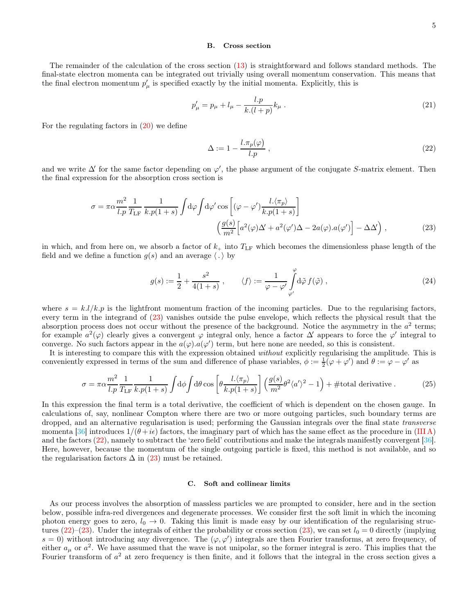#### B. Cross section

The remainder of the calculation of the cross section [\(13\)](#page-2-3) is straightforward and follows standard methods. The final-state electron momenta can be integrated out trivially using overall momentum conservation. This means that the final electron momentum  $p'_{\mu}$  is specified exactly by the initial momenta. Explicitly, this is

$$
p'_{\mu} = p_{\mu} + l_{\mu} - \frac{l.p}{k.(l+p)} k_{\mu} . \tag{21}
$$

For the regulating factors in  $(20)$  we define

<span id="page-4-1"></span><span id="page-4-0"></span>
$$
\Delta := 1 - \frac{l \pi_p(\varphi)}{l.p} \,,\tag{22}
$$

and we write  $\Delta'$  for the same factor depending on  $\varphi'$ , the phase argument of the conjugate S-matrix element. Then the final expression for the absorption cross section is

$$
\sigma = \pi \alpha \frac{m^2}{l.p} \frac{1}{T_{LF}} \frac{1}{k.p(1+s)} \int d\varphi \int d\varphi' \cos \left[ (\varphi - \varphi') \frac{l. \langle \pi_p \rangle}{k.p(1+s)} \right]
$$

$$
\left( \frac{g(s)}{m^2} \left[ a^2(\varphi) \Delta' + a^2(\varphi') \Delta - 2a(\varphi).a(\varphi') \right] - \Delta \Delta' \right), \tag{23}
$$

in which, and from here on, we absorb a factor of  $k_{+}$  into  $T_{LF}$  which becomes the dimensionless phase length of the field and we define a function  $g(s)$  and an average  $\langle . \rangle$  by

<span id="page-4-3"></span>
$$
g(s) := \frac{1}{2} + \frac{s^2}{4(1+s)}, \qquad \langle f \rangle := \frac{1}{\varphi - \varphi'} \int_{\varphi'}^{\varphi} d\tilde{\varphi} f(\tilde{\varphi}), \qquad (24)
$$

where  $s = k.l/k.p$  is the lightfront momentum fraction of the incoming particles. Due to the regularising factors, every term in the integrand of [\(23\)](#page-4-0) vanishes outside the pulse envelope, which reflects the physical result that the absorption process does not occur without the presence of the background. Notice the asymmetry in the  $a^2$  terms; for example  $a^2(\varphi)$  clearly gives a convergent  $\varphi$  integral only, hence a factor  $\Delta'$  appears to force the  $\varphi'$  integral to converge. No such factors appear in the  $a(\varphi) . a(\varphi')$  term, but here none are needed, so this is consistent.

It is interesting to compare this with the expression obtained without explicitly regularising the amplitude. This is conveniently expressed in terms of the sum and difference of phase variables,  $\phi := \frac{1}{2}(\varphi + \varphi')$  and  $\theta := \varphi - \varphi'$  as

$$
\sigma = \pi \alpha \frac{m^2}{l.p} \frac{1}{T_{\rm LF}} \frac{1}{k.p(1+s)} \int d\phi \int d\theta \cos \left[ \theta \frac{l.\langle \pi_p \rangle}{k.p(1+s)} \right] \left( \frac{g(s)}{m^2} \theta^2 \langle a' \rangle^2 - 1 \right) + \text{\#total derivative.} \tag{25}
$$

In this expression the final term is a total derivative, the coefficient of which is dependent on the chosen gauge. In calculations of, say, nonlinear Compton where there are two or more outgoing particles, such boundary terms are dropped, and an alternative regularisation is used; performing the Gaussian integrals over the final state transverse momenta [\[36\]](#page-13-24) introduces  $1/(\theta + i\epsilon)$  factors, the imaginary part of which has the same effect as the procedure in [\(III A\)](#page-3-4) and the factors [\(22\)](#page-4-1), namely to subtract the 'zero field' contributions and make the integrals manifestly convergent [\[36\]](#page-13-24). Here, however, because the momentum of the single outgoing particle is fixed, this method is not available, and so the regularisation factors  $\Delta$  in [\(23\)](#page-4-0) must be retained.

#### <span id="page-4-2"></span>C. Soft and collinear limits

As our process involves the absorption of massless particles we are prompted to consider, here and in the section below, possible infra-red divergences and degenerate processes. We consider first the soft limit in which the incoming photon energy goes to zero,  $l_0 \rightarrow 0$ . Taking this limit is made easy by our identification of the regularising structures  $(22)-(23)$  $(22)-(23)$ . Under the integrals of either the probability or cross section [\(23\)](#page-4-0), we can set  $l_0 = 0$  directly (implying  $s = 0$ ) without introducing any divergence. The  $(\varphi, \varphi')$  integrals are then Fourier transforms, at zero frequency, of either  $a_{\mu}$  or  $a^2$ . We have assumed that the wave is not unipolar, so the former integral is zero. This implies that the Fourier transform of  $a<sup>2</sup>$  at zero frequency is then finite, and it follows that the integral in the cross section gives a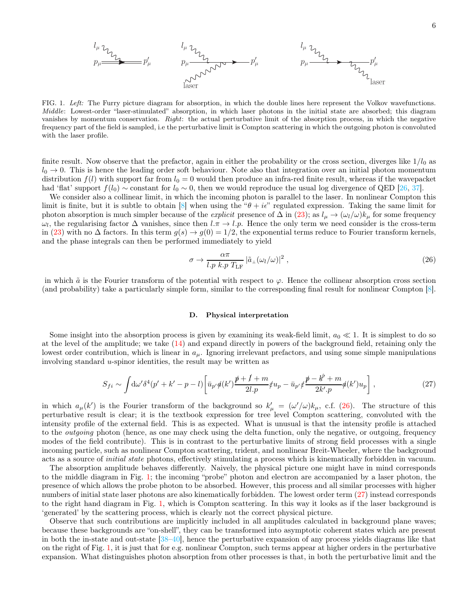<span id="page-5-1"></span>FIG. 1. *Left:* The Furry picture diagram for absorption, in which the double lines here represent the Volkov wavefunctions. *Middle*: Lowest-order "laser-stimulated" absorption, in which laser photons in the initial state are absorbed; this diagram vanishes by momentum conservation. *Right*: the actual perturbative limit of the absorption process, in which the negative frequency part of the field is sampled, i.e the perturbative limit is Compton scattering in which the outgoing photon is convoluted with the laser profile.

finite result. Now observe that the prefactor, again in either the probability or the cross section, diverges like  $1/l_0$  as  $l_0 \rightarrow 0$ . This is hence the leading order soft behaviour. Note also that integration over an initial photon momentum distribution  $f(l)$  with support far from  $l_0 = 0$  would then produce an infra-red finite result, whereas if the wavepacket had 'flat' support  $f(l_0) \sim$  constant for  $l_0 \sim 0$ , then we would reproduce the usual log divergence of QED [\[26](#page-13-16), [37](#page-13-25)].

We consider also a collinear limit, in which the incoming photon is parallel to the laser. In nonlinear Compton this limit is finite, but it is subtle to obtain [\[8](#page-13-26)] when using the " $\theta + i\epsilon$ " regulated expression. Taking the same limit for photon absorption is much simpler because of the *explicit* presence of  $\Delta$  in [\(23\)](#page-4-0); as  $l_{\mu} \to (\omega_l/\omega)k_{\mu}$  for some frequency  $\omega_l$ , the regularising factor  $\Delta$  vanishes, since then  $l \pi \to l \bar{p}$ . Hence the only term we need consider is the cross-term in [\(23\)](#page-4-0) with no  $\Delta$  factors. In this term  $g(s) \to g(0) = 1/2$ , the exponential terms reduce to Fourier transform kernels, and the phase integrals can then be performed immediately to yield

<span id="page-5-0"></span>
$$
\sigma \to \frac{\alpha \pi}{l.p \ k.p \ T_{\rm LF}} \left| \tilde{a}_{\perp}(\omega_l/\omega) \right|^2, \tag{26}
$$

in which  $\tilde{a}$  is the Fourier transform of the potential with respect to  $\varphi$ . Hence the collinear absorption cross section (and probability) take a particularly simple form, similar to the corresponding final result for nonlinear Compton [\[8\]](#page-13-26).

### D. Physical interpretation

Some insight into the absorption process is given by examining its weak-field limit,  $a_0 \ll 1$ . It is simplest to do so at the level of the amplitude; we take [\(14\)](#page-2-4) and expand directly in powers of the background field, retaining only the lowest order contribution, which is linear in  $a_{\mu}$ . Ignoring irrelevant prefactors, and using some simple manipulations involving standard u-spinor identities, the result may be written as

<span id="page-5-2"></span>
$$
S_{fi} \sim \int d\omega' \delta^4(p' + k' - p - l) \left[ \bar{u}_{p'} \phi(k') \frac{\rlap{\,/}{p} + l + m}{2l.p} \not{u}_p - \bar{u}_{p'} \not{\!z} \frac{\rlap{\,/}{p} - k' + m}{2k'.p} \phi(k') u_p \right],\tag{27}
$$

in which  $a_{\mu}(k')$  is the Fourier transform of the background so  $k'_{\mu} = (\omega'/\omega)k_{\mu}$ , c.f. [\(26\)](#page-5-0). The structure of this perturbative result is clear; it is the textbook expression for tree level Compton scattering, convoluted with the intensity profile of the external field. This is as expected. What is unusual is that the intensity profile is attached to the *outgoing* photon (hence, as one may check using the delta function, only the negative, or outgoing, frequency modes of the field contribute). This is in contrast to the perturbative limits of strong field processes with a single incoming particle, such as nonlinear Compton scattering, trident, and nonlinear Breit-Wheeler, where the background acts as a source of initial state photons, effectively stimulating a process which is kinematically forbidden in vacuum.

The absorption amplitude behaves differently. Naively, the physical picture one might have in mind corresponds to the middle diagram in Fig. [1;](#page-5-1) the incoming "probe" photon and electron are accompanied by a laser photon, the presence of which allows the probe photon to be absorbed. However, this process and all similar processes with higher numbers of initial state laser photons are also kinematically forbidden. The lowest order term [\(27\)](#page-5-2) instead corresponds to the right hand diagram in Fig. [1,](#page-5-1) which is Compton scattering. In this way it looks as if the laser background is 'generated' by the scattering process, which is clearly not the correct physical picture.

Observe that such contributions are implicitly included in all amplitudes calculated in background plane waves; because these backgrounds are "on-shell", they can be transformed into asymptotic coherent states which are present in both the in-state and out-state [\[38](#page-13-27)[–40\]](#page-13-28), hence the perturbative expansion of any process yields diagrams like that on the right of Fig. [1,](#page-5-1) it is just that for e.g. nonlinear Compton, such terms appear at higher orders in the perturbative expansion. What distinguishes photon absorption from other processes is that, in both the perturbative limit and the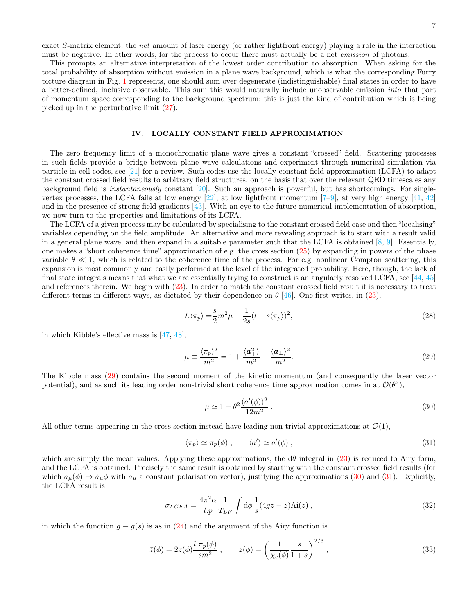exact S-matrix element, the net amount of laser energy (or rather lightfront energy) playing a role in the interaction must be negative. In other words, for the process to occur there must actually be a net *emission* of photons.

This prompts an alternative interpretation of the lowest order contribution to absorption. When asking for the total probability of absorption without emission in a plane wave background, which is what the corresponding Furry picture diagram in Fig. [1](#page-5-1) represents, one should sum over degenerate (indistinguishable) final states in order to have a better-defined, inclusive observable. This sum this would naturally include unobservable emission into that part of momentum space corresponding to the background spectrum; this is just the kind of contribution which is being picked up in the perturbative limit [\(27\)](#page-5-2).

# <span id="page-6-0"></span>IV. LOCALLY CONSTANT FIELD APPROXIMATION

The zero frequency limit of a monochromatic plane wave gives a constant "crossed" field. Scattering processes in such fields provide a bridge between plane wave calculations and experiment through numerical simulation via particle-in-cell codes, see [\[21\]](#page-13-11) for a review. Such codes use the locally constant field approximation (LCFA) to adapt the constant crossed field results to arbitrary field structures, on the basis that over the relevant QED timescales any background field is instantaneously constant [\[20\]](#page-13-10). Such an approach is powerful, but has shortcomings. For singlevertex processes, the LCFA fails at low energy  $[22]$ , at low lightfront momentum  $[7-9]$ , at very high energy  $[41, 42]$  $[41, 42]$  $[41, 42]$ and in the presence of strong field gradients [\[43\]](#page-13-31). With an eye to the future numerical implementation of absorption, we now turn to the properties and limitations of its LCFA.

The LCFA of a given process may be calculated by specialising to the constant crossed field case and then "localising" variables depending on the field amplitude. An alternative and more revealing approach is to start with a result valid in a general plane wave, and then expand in a suitable parameter such that the LCFA is obtained  $[8, 9]$  $[8, 9]$ . Essentially, one makes a "short coherence time" approximation of e.g. the cross section [\(25\)](#page-4-2) by expanding in powers of the phase variable  $\theta \ll 1$ , which is related to the coherence time of the process. For e.g. nonlinear Compton scattering, this expansion is most commonly and easily performed at the level of the integrated probability. Here, though, the lack of final state integrals means that what we are essentially trying to construct is an angularly resolved LCFA, see [\[44,](#page-13-32) [45](#page-13-33)] and references therein. We begin with [\(23\)](#page-4-0). In order to match the constant crossed field result it is necessary to treat different terms in different ways, as dictated by their dependence on  $\theta$  [\[46\]](#page-13-34). One first writes, in [\(23\)](#page-4-0),

$$
l.\langle \pi_p \rangle = \frac{s}{2}m^2\mu - \frac{1}{2s}(l - s\langle \pi_p \rangle)^2,
$$
\n(28)

in which Kibble's effective mass is  $[47, 48]$  $[47, 48]$ ,

$$
\mu \equiv \frac{\langle \pi_p \rangle^2}{m^2} = 1 + \frac{\langle \mathbf{a}_\perp^2 \rangle}{m^2} - \frac{\langle \mathbf{a}_\perp \rangle^2}{m^2}.
$$
\n(29)

The Kibble mass [\(29\)](#page-6-1) contains the second moment of the kinetic momentum (and consequently the laser vector potential), and as such its leading order non-trivial short coherence time approximation comes in at  $\mathcal{O}(\theta^2)$ ,

<span id="page-6-4"></span><span id="page-6-2"></span><span id="page-6-1"></span>
$$
\mu \simeq 1 - \theta^2 \frac{(a'(\phi))^2}{12m^2} \,. \tag{30}
$$

All other terms appearing in the cross section instead have leading non-trivial approximations at  $\mathcal{O}(1)$ ,

<span id="page-6-5"></span><span id="page-6-3"></span>
$$
\langle \pi_p \rangle \simeq \pi_p(\phi) , \qquad \langle a' \rangle \simeq a'(\phi) , \qquad (31)
$$

which are simply the mean values. Applying these approximations, the  $d\theta$  integral in [\(23\)](#page-4-0) is reduced to Airy form, and the LCFA is obtained. Precisely the same result is obtained by starting with the constant crossed field results (for which  $a_{\mu}(\phi) \to \tilde{a}_{\mu}\phi$  with  $\tilde{a}_{\mu}$  a constant polarisation vector), justifying the approximations [\(30\)](#page-6-2) and [\(31\)](#page-6-3). Explicitly, the LCFA result is

$$
\sigma_{LCFA} = \frac{4\pi^2 \alpha}{l.p} \frac{1}{T_{LF}} \int d\phi \frac{1}{s} (4g\bar{z} - z) \text{Ai}(\bar{z}) , \qquad (32)
$$

in which the function  $q \equiv q(s)$  is as in [\(24\)](#page-4-3) and the argument of the Airy function is

$$
\bar{z}(\phi) = 2z(\phi)\frac{l.\pi_p(\phi)}{sm^2}, \qquad z(\phi) = \left(\frac{1}{\chi_e(\phi)}\frac{s}{1+s}\right)^{2/3},\tag{33}
$$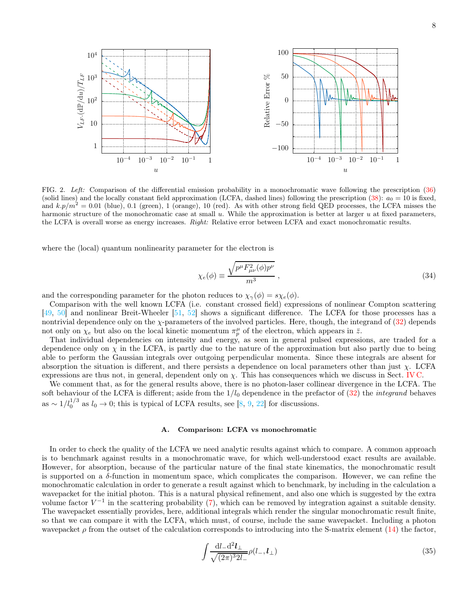

<span id="page-7-1"></span>FIG. 2. *Left:* Comparison of the differential emission probability in a monochromatic wave following the prescription [\(36\)](#page-8-0) (solid lines) and the locally constant field approximation (LCFA, dashed lines) following the prescription [\(38\)](#page-8-1):  $a_0 = 10$  is fixed, and  $k.p/m^2 = 0.01$  (blue), 0.1 (green), 1 (orange), 10 (red). As with other strong field QED processes, the LCFA misses the harmonic structure of the monochromatic case at small  $u$ . While the approximation is better at larger  $u$  at fixed parameters, the LCFA is overall worse as energy increases. *Right:* Relative error between LCFA and exact monochromatic results.

where the (local) quantum nonlinearity parameter for the electron is

$$
\chi_e(\phi) \equiv \frac{\sqrt{p^\mu F_{\mu\nu}^2(\phi)p^\nu}}{m^3} \,, \tag{34}
$$

and the corresponding parameter for the photon reduces to  $\chi_{\gamma}(\phi) = s \chi_{e}(\phi)$ .

Comparison with the well known LCFA (i.e. constant crossed field) expressions of nonlinear Compton scattering [\[49,](#page-13-37) [50\]](#page-14-0) and nonlinear Breit-Wheeler [\[51,](#page-14-1) [52\]](#page-14-2) shows a significant difference. The LCFA for those processes has a nontrivial dependence only on the  $\chi$ -parameters of the involved particles. Here, though, the integrand of [\(32\)](#page-6-4) depends not only on  $\chi_e$  but also on the local kinetic momentum  $\pi_p^{\mu}$  of the electron, which appears in  $\bar{z}$ .

That individual dependencies on intensity and energy, as seen in general pulsed expressions, are traded for a dependence only on  $\chi$  in the LCFA, is partly due to the nature of the approximation but also partly due to being able to perform the Gaussian integrals over outgoing perpendicular momenta. Since these integrals are absent for absorption the situation is different, and there persists a dependence on local parameters other than just  $\chi$ . LCFA expressions are thus not, in general, dependent only on  $\chi$ . This has consequences which we discuss in Sect. [IV C.](#page-11-0)

We comment that, as for the general results above, there is no photon-laser collinear divergence in the LCFA. The soft behaviour of the LCFA is different; aside from the  $1/l_0$  dependence in the prefactor of  $(32)$  the *integrand* behaves as  $\sim 1/l_0^{1/3}$  as  $l_0 \to 0$ ; this is typical of LCFA results, see [\[8](#page-13-26), [9](#page-13-5), [22\]](#page-13-12) for discussions.

### A. Comparison: LCFA vs monochromatic

In order to check the quality of the LCFA we need analytic results against which to compare. A common approach is to benchmark against results in a monochromatic wave, for which well-understood exact results are available. However, for absorption, because of the particular nature of the final state kinematics, the monochromatic result is supported on a  $\delta$ -function in momentum space, which complicates the comparison. However, we can refine the monochromatic calculation in order to generate a result against which to benchmark, by including in the calculation a wavepacket for the initial photon. This is a natural physical refinement, and also one which is suggested by the extra volume factor  $V^{-1}$  in the scattering probability [\(7\)](#page-1-4), which can be removed by integration against a suitable density. The wavepacket essentially provides, here, additional integrals which render the singular monochromatic result finite, so that we can compare it with the LCFA, which must, of course, include the same wavepacket. Including a photon wavepacket  $\rho$  from the outset of the calculation corresponds to introducing into the S-matrix element [\(14\)](#page-2-4) the factor,

<span id="page-7-0"></span>
$$
\int \frac{\mathrm{d}l_- \mathrm{d}^2 l_\perp}{\sqrt{(2\pi)^3 2l_-}} \rho(l_-, l_\perp) \tag{35}
$$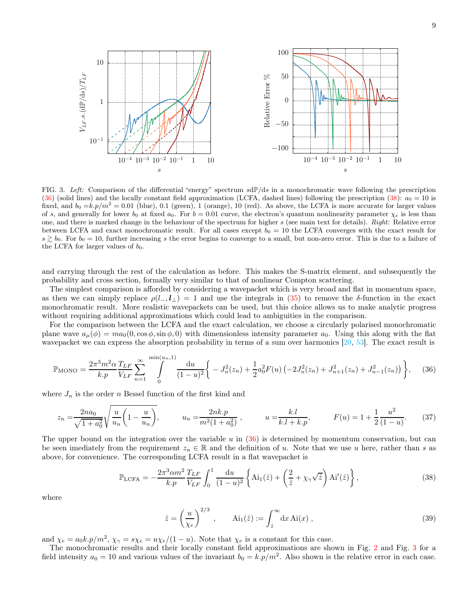

<span id="page-8-2"></span>FIG. 3. Left: Comparison of the differential "energy" spectrum  $sdP/ds$  in a monochromatic wave following the prescription [\(36\)](#page-8-0) (solid lines) and the locally constant field approximation (LCFA, dashed lines) following the prescription [\(38\)](#page-8-1):  $a_0 = 10$  is fixed, and  $b_0 = k p/m^2 = 0.01$  (blue), 0.1 (green), 1 (orange), 10 (red). As above, the LCFA is more accurate for larger values of s, and generally for lower  $b_0$  at fixed  $a_0$ . For  $b = 0.01$  curve, the electron's quantum nonlinearity parameter  $\chi_e$  is less than one, and there is marked change in the behaviour of the spectrum for higher s (see main text for details). *Right:* Relative error between LCFA and exact monochromatic result. For all cases except  $b_0 = 10$  the LCFA converges with the exact result for  $s \gtrsim b_0$ . For  $b_0 = 10$ , further increasing s the error begins to converge to a small, but non-zero error. This is due to a failure of the LCFA for larger values of  $b_0$ .

and carrying through the rest of the calculation as before. This makes the S-matrix element, and subsequently the probability and cross section, formally very similar to that of nonlinear Compton scattering.

The simplest comparison is afforded by considering a wavepacket which is very broad and flat in momentum space, as then we can simply replace  $\rho(l_-,l_\perp)=1$  and use the integrals in [\(35\)](#page-7-0) to remove the δ-function in the exact monochromatic result. More realistic wavepackets can be used, but this choice allows us to make analytic progress without requiring additional approximations which could lead to ambiguities in the comparison.

For the comparison between the LCFA and the exact calculation, we choose a circularly polarised monochromatic plane wave  $a_{\mu}(\phi) = ma_0(0, \cos \phi, \sin \phi, 0)$  with dimensionless intensity parameter  $a_0$ . Using this along with the flat wavepacket we can express the absorption probability in terms of a sum over harmonics [\[20](#page-13-10), [53](#page-14-3)]. The exact result is

<span id="page-8-0"></span>
$$
\mathbb{P}_{\text{MONO}} = \frac{2\pi^3 m^2 \alpha}{k.p} \frac{T_{LF}}{V_{LF}} \sum_{n=1}^{\infty} \int_{0}^{\min(u_n, 1)} \frac{\mathrm{d}u}{(1-u)^2} \left\{ -J_n^2(z_n) + \frac{1}{2} a_0^2 F(u) \left( -2J_n^2(z_n) + J_{n+1}^2(z_n) + J_{n-1}^2(z_n) \right) \right\}, \tag{36}
$$

where  $J_n$  is the order n Bessel function of the first kind and

$$
z_n = \frac{2na_0}{\sqrt{1+a_0^2}} \sqrt{\frac{u}{u_n} \left(1 - \frac{u}{u_n}\right)}, \qquad u_n = \frac{2nk.p}{m^2(1+a_0^2)}, \qquad u = \frac{k.l}{k.l + k.p}, \qquad F(u) = 1 + \frac{1}{2} \frac{u^2}{(1-u)}.
$$
 (37)

The upper bound on the integration over the variable  $u$  in  $(36)$  is determined by momentum conservation, but can be seen imediately from the requirement  $z_n \in \mathbb{R}$  and the definition of u. Note that we use u here, rather than s as above, for convenience. The corresponding LCFA result in a flat wavepacket is

<span id="page-8-1"></span>
$$
\mathbb{P}_{\text{LCFA}} = -\frac{2\pi^3 \alpha m^2}{k.p} \frac{T_{LF}}{V_{LF}} \int_0^1 \frac{\mathrm{d}u}{(1-u)^2} \left\{ \text{Ai}_1(\hat{z}) + \left( \frac{2}{\hat{z}} + \chi_\gamma \sqrt{\hat{z}} \right) \text{Ai}'(\hat{z}) \right\},\tag{38}
$$

where

<span id="page-8-3"></span>
$$
\hat{z} = \left(\frac{u}{\chi_e}\right)^{2/3}, \qquad \text{Ai}_1(\hat{z}) := \int_{\hat{z}}^{\infty} dx \,\text{Ai}(x) \;, \tag{39}
$$

and  $\chi_e = a_0 k p/m^2$ ,  $\chi_{\gamma} = s \chi_e = u \chi_e/(1-u)$ . Note that  $\chi_e$  is a constant for this case.

The monochromatic results and their locally constant field approximations are shown in Fig. [2](#page-7-1) and Fig. [3](#page-8-2) for a field intensity  $a_0 = 10$  and various values of the invariant  $b_0 = k.p/m^2$ . Also shown is the relative error in each case.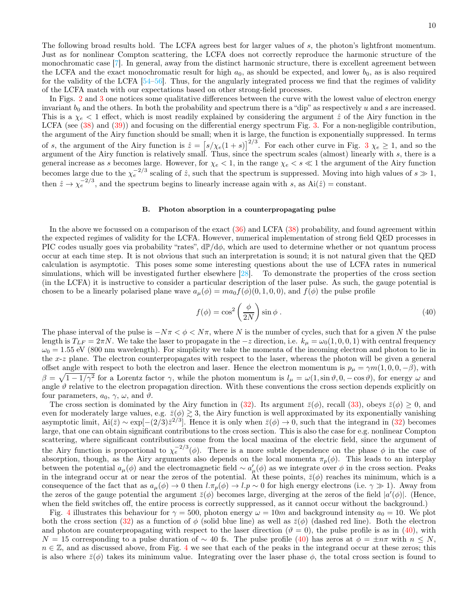The following broad results hold. The LCFA agrees best for larger values of s, the photon's lightfront momentum. Just as for nonlinear Compton scattering, the LCFA does not correctly reproduce the harmonic structure of the monochromatic case [\[7](#page-13-4)]. In general, away from the distinct harmonic structure, there is excellent agreement between the LCFA and the exact monochromatic result for high  $a_0$ , as should be expected, and lower  $b_0$ , as is also required for the validity of the LCFA [\[54](#page-14-4)[–56](#page-14-5)]. Thus, for the angularly integrated process we find that the regimes of validity of the LCFA match with our expectations based on other strong-field processes.

In Figs. [2](#page-7-1) and [3](#page-8-2) one notices some qualitative differences between the curve with the lowest value of electron energy invariant  $b_0$  and the others. In both the probability and spectrum there is a "dip" as respectively u and s are increased. This is a  $\chi_e$  < 1 effect, which is most readily explained by considering the argument  $\hat{z}$  of the Airy function in the LCFA (see [\(38\)](#page-8-1) and [\(39\)](#page-8-3)) and focusing on the differential energy spectrum Fig. [3.](#page-8-2) For a non-negligible contribution, the argument of the Airy function should be small; when it is large, the function is exponentially suppressed. In terms of s, the argument of the Airy function is  $\hat{z} = [s/\chi_e(1+s)]^{2/3}$  $\hat{z} = [s/\chi_e(1+s)]^{2/3}$  $\hat{z} = [s/\chi_e(1+s)]^{2/3}$ . For each other curve in Fig. 3  $\chi_e \ge 1$ , and so the argument of the Airy function is relatively small. Thus, since the spectrum scales (almost) linearly with  $s$ , there is a general increase as s becomes large. However, for  $\chi_e < 1$ , in the range  $\chi_e < s \ll 1$  the argument of the Airy function becomes large due to the  $\chi_e^{-2/3}$  scaling of  $\hat{z}$ , such that the spectrum is suppressed. Moving into high values of  $s \gg 1$ , then  $\hat{z} \to \chi_e^{-2/3}$ , and the spectrum begins to linearly increase again with s, as  $\text{Ai}(\hat{z}) = \text{constant}$ .

# B. Photon absorption in a counterpropagating pulse

In the above we focussed on a comparison of the exact  $(36)$  and LCFA  $(38)$  probability, and found agreement within the expected regimes of validity for the LCFA. However, numerical implementation of strong field QED processes in PIC codes usually goes via probability "rates",  $d\mathbb{P}/d\phi$ , which are used to determine whether or not quantum process occur at each time step. It is not obvious that such an interpretation is sound; it is not natural given that the QED calculation is asymptotic. This poses some some interesting questions about the use of LCFA rates in numerical simulations, which will be investigated further elsewhere [\[28\]](#page-13-18). To demonstrate the properties of the cross section (in the LCFA) it is instructive to consider a particular description of the laser pulse. As such, the gauge potential is chosen to be a linearly polarised plane wave  $a_{\mu}(\phi) = ma_0 f(\phi)(0, 1, 0, 0)$ , and  $f(\phi)$  the pulse profile

<span id="page-9-0"></span>
$$
f(\phi) = \cos^2\left(\frac{\phi}{2N}\right)\sin\phi\,. \tag{40}
$$

The phase interval of the pulse is  $-N\pi < \phi < N\pi$ , where N is the number of cycles, such that for a given N the pulse length is  $T_{LF} = 2\pi N$ . We take the laser to propagate in the  $-z$  direction, i.e.  $k_{\mu} = \omega_0(1, 0, 0, 1)$  with central frequency  $\omega_0 = 1.55$  eV (800 nm wavelength). For simplicity we take the momenta of the incoming electron and photon to lie in the  $x-z$  plane. The electron counterpropagates with respect to the laser, whereas the photon will be given a general offset angle with respect to both the electron and laser. Hence the electron momentum is  $p_{\mu} = \gamma m(1, 0, 0, -\beta)$ , with  $\beta = \sqrt{1 - 1/\gamma^2}$  for a Lorentz factor  $\gamma$ , while the photon momentum is  $l_{\mu} = \omega(1, \sin \vartheta, 0, -\cos \vartheta)$ , for energy  $\omega$  and angle  $\vartheta$  relative to the electron propagation direction. With these conventions the cross section depends explicitly on four parameters,  $a_0$ ,  $\gamma$ ,  $\omega$ , and  $\vartheta$ .

The cross section is dominated by the Airy function in [\(32\)](#page-6-4). Its argument  $\bar{z}(\phi)$ , recall [\(33\)](#page-6-5), obeys  $\bar{z}(\phi) \geq 0$ , and even for moderately large values, e.g.  $\bar{z}(\phi) \gtrsim 3$ , the Airy function is well approximated by its exponentially vanishing asymptotic limit,  $Ai(\bar{z}) \sim \exp[-(2/3)\bar{z}^{2/3}]$ . Hence it is only when  $\bar{z}(\phi) \to 0$ , such that the integrand in [\(32\)](#page-6-4) becomes large, that one can obtain significant contributions to the cross section. This is also the case for e.g. nonlinear Compton scattering, where significant contributions come from the local maxima of the electric field, since the argument of the Airy function is proportional to  $\chi_e^{-2/3}(\phi)$ . There is a more subtle dependence on the phase  $\phi$  in the case of absorption, though, as the Airy arguments also depends on the local momenta  $\pi_p(\phi)$ . This leads to an interplay between the potential  $a_{\mu}(\phi)$  and the electromagnetic field  $\sim a'_{\mu}(\phi)$  as we integrate over  $\phi$  in the cross section. Peaks in the integrand occur at or near the zeros of the potential. At these points,  $\bar{z}(\phi)$  reaches its minimum, which is a consequence of the fact that as  $a_{\mu}(\phi) \to 0$  then  $l.\pi_{p}(\phi) \to l.p \sim 0$  for high energy electrons (i.e.  $\gamma \gg 1$ ). Away from the zeros of the gauge potential the argument  $\bar{z}(\phi)$  becomes large, diverging at the zeros of the field  $|a'(\phi)|$ . (Hence, when the field switches off, the entire process is correctly suppressed, as it cannot occur without the background.)

Fig. [4](#page-10-0) illustrates this behaviour for  $\gamma = 500$ , photon energy  $\omega = 10m$  and background intensity  $a_0 = 10$ . We plot both the cross section [\(32\)](#page-6-4) as a function of  $\phi$  (solid blue line) as well as  $\bar{z}(\phi)$  (dashed red line). Both the electron and photon are counterpropagating with respect to the laser direction ( $\vartheta = 0$ ), the pulse profile is as in [\(40\)](#page-9-0), with  $N = 15$  corresponding to a pulse duration of ~ 40 fs. The pulse profile [\(40\)](#page-9-0) has zeros at  $\phi = \pm n\pi$  with  $n \leq N$ ,  $n \in \mathbb{Z}$ , and as discussed above, from Fig. [4](#page-10-0) we see that each of the peaks in the integrand occur at these zeros; this is also where  $\bar{z}(\phi)$  takes its minimum value. Integrating over the laser phase  $\phi$ , the total cross section is found to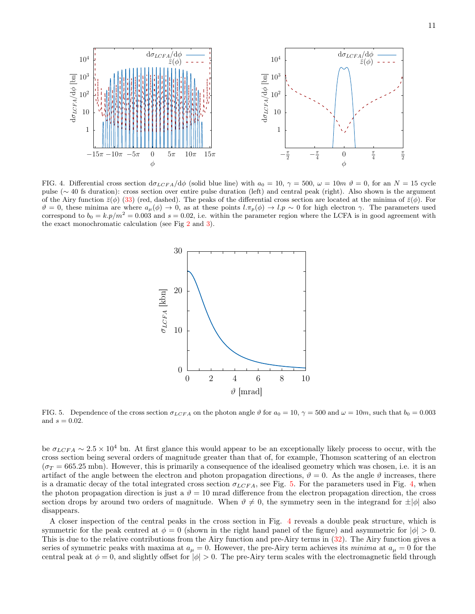

<span id="page-10-0"></span>FIG. 4. Differential cross section  $d\sigma_{LCFA}/d\phi$  (solid blue line) with  $a_0 = 10$ ,  $\gamma = 500$ ,  $\omega = 10m$   $\vartheta = 0$ , for an  $N = 15$  cycle pulse (∼ 40 fs duration): cross section over entire pulse duration (left) and central peak (right). Also shown is the argument of the Airy function  $\bar{z}(\phi)$  [\(33\)](#page-6-5) (red, dashed). The peaks of the differential cross section are located at the minima of  $\bar{z}(\phi)$ . For  $\vartheta = 0$ , these minima are where  $a_{\mu}(\phi) \to 0$ , as at these points  $l.\pi_{p}(\phi) \to l.p \sim 0$  for high electron  $\gamma$ . The parameters used correspond to  $b_0 = k.p/m^2 = 0.003$  and  $s = 0.02$ , i.e. within the parameter region where the LCFA is in good agreement with the exact monochromatic calculation (see Fig [2](#page-7-1) and [3\)](#page-8-2).



<span id="page-10-1"></span>FIG. 5. Dependence of the cross section  $\sigma_{LCFA}$  on the photon angle  $\vartheta$  for  $a_0 = 10$ ,  $\gamma = 500$  and  $\omega = 10m$ , such that  $b_0 = 0.003$ and  $s = 0.02$ .

be  $\sigma_{LCFA} \sim 2.5 \times 10^4$  bn. At first glance this would appear to be an exceptionally likely process to occur, with the cross section being several orders of magnitude greater than that of, for example, Thomson scattering of an electron  $(\sigma_T = 665.25 \text{ mbn})$ . However, this is primarily a consequence of the idealised geometry which was chosen, i.e. it is an artifact of the angle between the electron and photon propagation directions,  $\vartheta = 0$ . As the angle  $\vartheta$  increases, there is a dramatic decay of the total integrated cross section  $\sigma_{LCFA}$ , see Fig. [5.](#page-10-1) For the parameters used in Fig. [4,](#page-10-0) when the photon propagation direction is just a  $\vartheta = 10$  mrad difference from the electron propagation direction, the cross section drops by around two orders of magnitude. When  $\vartheta \neq 0$ , the symmetry seen in the integrand for  $\pm |\phi|$  also disappears.

A closer inspection of the central peaks in the cross section in Fig. [4](#page-10-0) reveals a double peak structure, which is symmetric for the peak centred at  $\phi = 0$  (shown in the right hand panel of the figure) and asymmetric for  $|\phi| > 0$ . This is due to the relative contributions from the Airy function and pre-Airy terms in [\(32\)](#page-6-4). The Airy function gives a series of symmetric peaks with maxima at  $a_{\mu} = 0$ . However, the pre-Airy term achieves its minima at  $a_{\mu} = 0$  for the central peak at  $\phi = 0$ , and slightly offset for  $|\phi| > 0$ . The pre-Airy term scales with the electromagnetic field through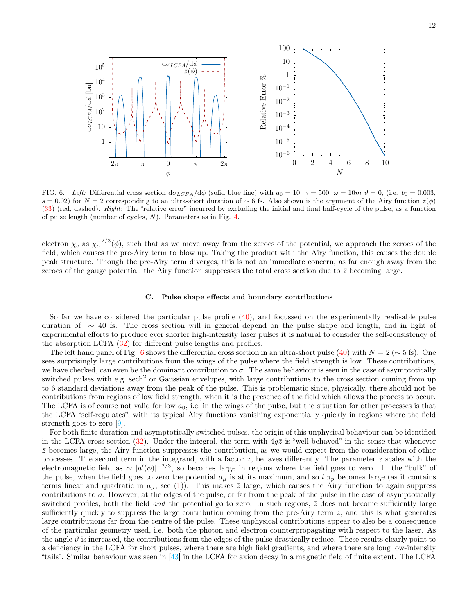

<span id="page-11-1"></span>FIG. 6. Left: Differential cross section  $d\sigma_{LCFA}/d\phi$  (solid blue line) with  $a_0 = 10$ ,  $\gamma = 500$ ,  $\omega = 10m$   $\vartheta = 0$ , (i.e.  $b_0 = 0.003$ , s = 0.02) for N = 2 corresponding to an ultra-short duration of ~ 6 fs. Also shown is the argument of the Airy function  $\bar{z}(\phi)$ [\(33\)](#page-6-5) (red, dashed). *Right*: The "relative error" incurred by excluding the initial and final half-cycle of the pulse, as a function of pulse length (number of cycles, N). Parameters as in Fig. [4.](#page-10-0)

electron  $\chi_e$  as  $\chi_e^{-2/3}(\phi)$ , such that as we move away from the zeroes of the potential, we approach the zeroes of the field, which causes the pre-Airy term to blow up. Taking the product with the Airy function, this causes the double peak structure. Though the pre-Airy term diverges, this is not an immediate concern, as far enough away from the zeroes of the gauge potential, the Airy function suppresses the total cross section due to  $\bar{z}$  becoming large.

### <span id="page-11-0"></span>C. Pulse shape effects and boundary contributions

So far we have considered the particular pulse profile [\(40\)](#page-9-0), and focussed on the experimentally realisable pulse duration of ∼ 40 fs. The cross section will in general depend on the pulse shape and length, and in light of experimental efforts to produce ever shorter high-intensity laser pulses it is natural to consider the self-consistency of the absorption LCFA [\(32\)](#page-6-4) for different pulse lengths and profiles.

The left hand panel of Fig. [6](#page-11-1) shows the differential cross section in an ultra-short pulse [\(40\)](#page-9-0) with  $N = 2 (\sim 5 \text{ fs})$ . One sees surprisingly large contributions from the wings of the pulse where the field strength is low. These contributions, we have checked, can even be the dominant contribution to  $\sigma$ . The same behaviour is seen in the case of asymptotically switched pulses with e.g.  $\mathrm{sech}^2$  or Gaussian envelopes, with large contributions to the cross section coming from up to 6 standard deviations away from the peak of the pulse. This is problematic since, physically, there should not be contributions from regions of low field strength, when it is the presence of the field which allows the process to occur. The LCFA is of course not valid for low  $a_0$ , i.e. in the wings of the pulse, but the situation for other processes is that the LCFA "self-regulates", with its typical Airy functions vanishing exponentially quickly in regions where the field strength goes to zero [\[9](#page-13-5)].

For both finite duration and asymptotically switched pulses, the origin of this unphysical behaviour can be identified in the LCFA cross section [\(32\)](#page-6-4). Under the integral, the term with  $4g\bar{z}$  is "well behaved" in the sense that whenever  $\bar{z}$  becomes large, the Airy function suppresses the contribution, as we would expect from the consideration of other processes. The second term in the integrand, with a factor  $z$ , behaves differently. The parameter  $z$  scales with the electromagnetic field as ~  $|a'(\phi)|^{-2/3}$ , so becomes large in regions where the field goes to zero. In the "bulk" of the pulse, when the field goes to zero the potential  $a_{\mu}$  is at its maximum, and so  $l.\pi_p$  becomes large (as it contains terms linear and quadratic in  $a_{\mu}$ , see [\(1\)](#page-0-2)). This makes  $\bar{z}$  large, which causes the Airy function to again suppress contributions to  $\sigma$ . However, at the edges of the pulse, or far from the peak of the pulse in the case of asymptotically switched profiles, both the field and the potential go to zero. In such regions,  $\bar{z}$  does not become sufficiently large sufficiently quickly to suppress the large contribution coming from the pre-Airy term  $z$ , and this is what generates large contributions far from the centre of the pulse. These unphysical contributions appear to also be a consequence of the particular geometry used, i.e. both the photon and electron counterpropagating with respect to the laser. As the angle  $\vartheta$  is increased, the contributions from the edges of the pulse drastically reduce. These results clearly point to a deficiency in the LCFA for short pulses, where there are high field gradients, and where there are long low-intensity "tails". Similar behaviour was seen in  $\frac{13}{3}$  in the LCFA for axion decay in a magnetic field of finite extent. The LCFA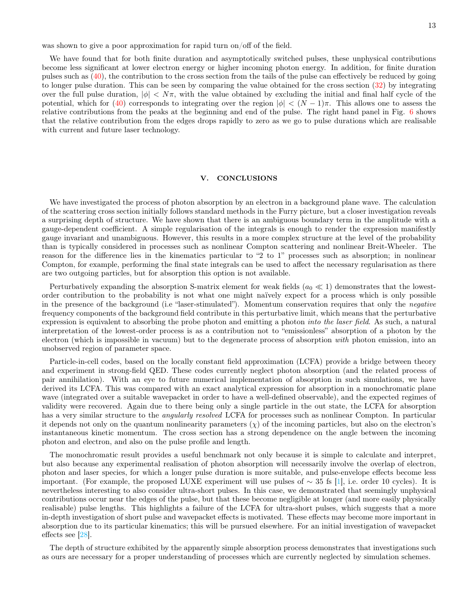was shown to give a poor approximation for rapid turn on/off of the field.

We have found that for both finite duration and asymptotically switched pulses, these unphysical contributions become less significant at lower electron energy or higher incoming photon energy. In addition, for finite duration pulses such as [\(40\)](#page-9-0), the contribution to the cross section from the tails of the pulse can effectively be reduced by going to longer pulse duration. This can be seen by comparing the value obtained for the cross section [\(32\)](#page-6-4) by integrating over the full pulse duration,  $|\phi| < N\pi$ , with the value obtained by excluding the initial and final half cycle of the potential, which for [\(40\)](#page-9-0) corresponds to integrating over the region  $|\phi| < (N-1)\pi$ . This allows one to assess the relative contributions from the peaks at the beginning and end of the pulse. The right hand panel in Fig. [6](#page-11-1) shows that the relative contribution from the edges drops rapidly to zero as we go to pulse durations which are realisable with current and future laser technology.

### <span id="page-12-0"></span>V. CONCLUSIONS

We have investigated the process of photon absorption by an electron in a background plane wave. The calculation of the scattering cross section initially follows standard methods in the Furry picture, but a closer investigation reveals a surprising depth of structure. We have shown that there is an ambiguous boundary term in the amplitude with a gauge-dependent coefficient. A simple regularisation of the integrals is enough to render the expression manifestly gauge invariant and unambiguous. However, this results in a more complex structure at the level of the probability than is typically considered in processes such as nonlinear Compton scattering and nonlinear Breit-Wheeler. The reason for the difference lies in the kinematics particular to "2 to 1" processes such as absorption; in nonlinear Compton, for example, performing the final state integrals can be used to affect the necessary regularisation as there are two outgoing particles, but for absorption this option is not available.

Perturbatively expanding the absorption S-matrix element for weak fields  $(a_0 \ll 1)$  demonstrates that the lowestorder contribution to the probability is not what one might naïvely expect for a process which is only possible in the presence of the background (i.e "laser-stimulated"). Momentum conservation requires that only the *negative* frequency components of the background field contribute in this perturbative limit, which means that the perturbative expression is equivalent to absorbing the probe photon and emitting a photon into the laser field. As such, a natural interpretation of the lowest-order process is as a contribution not to "emissionless" absorption of a photon by the electron (which is impossible in vacuum) but to the degenerate process of absorption with photon emission, into an unobserved region of parameter space.

Particle-in-cell codes, based on the locally constant field approximation (LCFA) provide a bridge between theory and experiment in strong-field QED. These codes currently neglect photon absorption (and the related process of pair annihilation). With an eye to future numerical implementation of absorption in such simulations, we have derived its LCFA. This was compared with an exact analytical expression for absorption in a monochromatic plane wave (integrated over a suitable wavepacket in order to have a well-defined observable), and the expected regimes of validity were recovered. Again due to there being only a single particle in the out state, the LCFA for absorption has a very similar structure to the *angularly resolved* LCFA for processes such as nonlinear Compton. In particular it depends not only on the quantum nonlinearity parameters  $(\chi)$  of the incoming particles, but also on the electron's instantaneous kinetic momentum. The cross section has a strong dependence on the angle between the incoming photon and electron, and also on the pulse profile and length.

The monochromatic result provides a useful benchmark not only because it is simple to calculate and interpret, but also because any experimental realisation of photon absorption will necessarily involve the overlap of electron, photon and laser species, for which a longer pulse duration is more suitable, and pulse-envelope effects become less important. (For example, the proposed LUXE experiment will use pulses of  $\sim 35$  fs [\[1](#page-13-0)], i.e. order 10 cycles). It is nevertheless interesting to also consider ultra-short pulses. In this case, we demonstrated that seemingly unphysical contributions occur near the edges of the pulse, but that these become negligible at longer (and more easily physically realisable) pulse lengths. This highlights a failure of the LCFA for ultra-short pulses, which suggests that a more in-depth investigation of short pulse and wavepacket effects is motivated. These effects may become more important in absorption due to its particular kinematics; this will be pursued elsewhere. For an initial investigation of wavepacket effects see [\[28](#page-13-18)].

The depth of structure exhibited by the apparently simple absorption process demonstrates that investigations such as ours are necessary for a proper understanding of processes which are currently neglected by simulation schemes.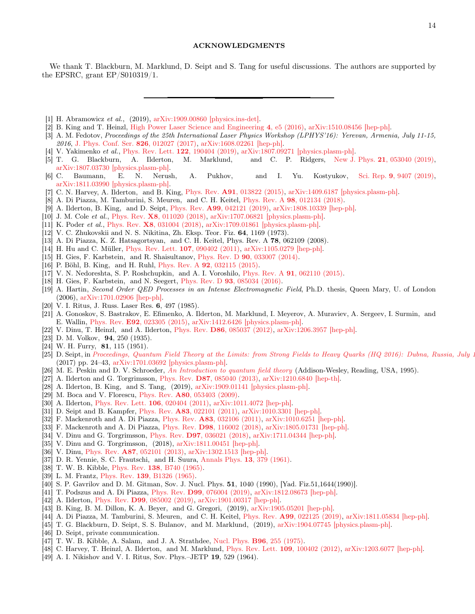We thank T. Blackburn, M. Marklund, D. Seipt and S. Tang for useful discussions. The authors are supported by the EPSRC, grant EP/S010319/1.

- <span id="page-13-0"></span>[1] H. Abramowicz *et al.*, (2019), [arXiv:1909.00860 \[physics.ins-det\].](http://arxiv.org/abs/1909.00860)
- <span id="page-13-1"></span>[2] B. King and T. Heinzl, [High Power Laser Science and Engineering](http://dx.doi.org/10.1017/hpl.2016.1) 4, e5 (2016), [arXiv:1510.08456 \[hep-ph\].](http://arxiv.org/abs/1510.08456)
- <span id="page-13-2"></span>[3] A. M. Fedotov, *Proceedings of the 25th International Laser Physics Workshop (LPHYS'16): Yerevan, Armenia, July 11-15, 2016*, [J. Phys. Conf. Ser.](http://dx.doi.org/ 10.1088/1742-6596/826/1/012027) 826, 012027 (2017), [arXiv:1608.02261 \[hep-ph\].](http://arxiv.org/abs/1608.02261)
- [4] V. Yakimenko *et al.*, [Phys. Rev. Lett.](http://dx.doi.org/ 10.1103/PhysRevLett.122.190404) 122, 190404 (2019), [arXiv:1807.09271 \[physics.plasm-ph\].](http://arxiv.org/abs/1807.09271)
- [5] T. G. Blackburn, A. Ilderton, M. Marklund, and C. P. Ridgers, New J. Phys. 21[, 053040 \(2019\),](http://dx.doi.org/10.1088/1367-2630/ab1e0d) [arXiv:1807.03730 \[physics.plasm-ph\].](http://arxiv.org/abs/1807.03730)
- <span id="page-13-3"></span>[6] C. Baumann, E. N. Nerush, A. Pukhov, and I. Yu. Kostyukov, Sci. Rep. 9[, 9407 \(2019\),](http://dx.doi.org/10.1038/s41598-019-45582-5) [arXiv:1811.03990 \[physics.plasm-ph\].](http://arxiv.org/abs/1811.03990)
- <span id="page-13-4"></span>[7] C. N. Harvey, A. Ilderton, and B. King, Phys. Rev. A91[, 013822 \(2015\),](http://dx.doi.org/10.1103/PhysRevA.91.013822) [arXiv:1409.6187 \[physics.plasm-ph\].](http://arxiv.org/abs/1409.6187)
- <span id="page-13-26"></span>[8] A. Di Piazza, M. Tamburini, S. Meuren, and C. H. Keitel, Phys. Rev. A 98[, 012134 \(2018\).](http://dx.doi.org/10.1103/PhysRevA.98.012134)
- <span id="page-13-5"></span>[9] A. Ilderton, B. King, and D. Seipt, Phys. Rev. A99[, 042121 \(2019\),](http://dx.doi.org/10.1103/PhysRevA.99.042121) [arXiv:1808.10339 \[hep-ph\].](http://arxiv.org/abs/1808.10339)
- <span id="page-13-6"></span>[10] J. M. Cole *et al.*, Phys. Rev. X8[, 011020 \(2018\),](http://dx.doi.org/10.1103/PhysRevX.8.011020) [arXiv:1707.06821 \[physics.plasm-ph\].](http://arxiv.org/abs/1707.06821)
- <span id="page-13-7"></span>[11] K. Poder *et al.*, Phys. Rev. X8[, 031004 \(2018\),](http://dx.doi.org/10.1103/PhysRevX.8.031004) [arXiv:1709.01861 \[physics.plasm-ph\].](http://arxiv.org/abs/1709.01861)
- <span id="page-13-8"></span>[12] V. C. Zhukovskii and N. S. Nikitina, Zh. Eksp. Teor. Fiz. 64, 1169 (1973).
- [13] A. Di Piazza, K. Z. Hatsagortsyan, and C. H. Keitel, Phys. Rev. A 78, 062109 (2008).
- [14] H. Hu and C. Müller, [Phys. Rev. Lett.](http://dx.doi.org/10.1103/PhysRevLett.107.090402) 107, 090402 (2011), [arXiv:1105.0279 \[hep-ph\].](http://arxiv.org/abs/1105.0279)
- [15] H. Gies, F. Karbstein, and R. Shaisultanov, Phys. Rev. D 90[, 033007 \(2014\).](http://dx.doi.org/10.1103/PhysRevD.90.033007)
- [16] P. Böhl, B. King, and H. Ruhl, Phys. Rev. A 92[, 032115 \(2015\).](http://dx.doi.org/ 10.1103/PhysRevA.92.032115)
- [17] V. N. Nedoreshta, S. P. Roshchupkin, and A. I. Voroshilo, Phys. Rev. A 91[, 062110 \(2015\).](http://dx.doi.org/10.1103/PhysRevA.91.062110)
- [18] H. Gies, F. Karbstein, and N. Seegert, Phys. Rev. D **93**[, 085034 \(2016\).](http://dx.doi.org/10.1103/PhysRevD.93.085034)
- <span id="page-13-9"></span>[19] A. Hartin, *Second Order QED Processes in an Intense Electromagnetic Field*, Ph.D. thesis, Queen Mary, U. of London (2006), [arXiv:1701.02906 \[hep-ph\].](http://arxiv.org/abs/1701.02906)
- <span id="page-13-10"></span>[20] V. I. Ritus, J. Russ. Laser Res. 6, 497 (1985).
- <span id="page-13-11"></span>[21] A. Gonoskov, S. Bastrakov, E. Efimenko, A. Ilderton, M. Marklund, I. Meyerov, A. Muraviev, A. Sergeev, I. Surmin, and E. Wallin, Phys. Rev. E92[, 023305 \(2015\),](http://dx.doi.org/10.1103/PhysRevE.92.023305) [arXiv:1412.6426 \[physics.plasm-ph\].](http://arxiv.org/abs/1412.6426)
- <span id="page-13-12"></span>[22] V. Dinu, T. Heinzl, and A. Ilderton, Phys. Rev. D86[, 085037 \(2012\),](http://dx.doi.org/10.1103/PhysRevD.86.085037) [arXiv:1206.3957 \[hep-ph\].](http://arxiv.org/abs/1206.3957)
- <span id="page-13-13"></span>[23] D. M. Volkov, **94**, 250 (1935).
- <span id="page-13-14"></span>[24] W. H. Furry, **81**, 115 (1951).
- <span id="page-13-15"></span>[25] D. Seipt, in *Proceedings, Quantum Field Theory at the Limits: from Strong Fields to Heavy Quarks (HQ 2016): Dubna, Russia, July 1* (2017) pp. 24–43, [arXiv:1701.03692 \[physics.plasm-ph\].](http://arxiv.org/abs/1701.03692)
- <span id="page-13-16"></span>[26] M. E. Peskin and D. V. Schroeder, *[An Introduction to quantum field theory](http://www.slac.stanford.edu/~mpeskin/QFT.html)* (Addison-Wesley, Reading, USA, 1995).
- <span id="page-13-17"></span>[27] A. Ilderton and G. Torgrimsson, Phys. Rev. D87[, 085040 \(2013\),](http://dx.doi.org/10.1103/PhysRevD.87.085040) [arXiv:1210.6840 \[hep-th\].](http://arxiv.org/abs/1210.6840)
- <span id="page-13-18"></span>[28] A. Ilderton, B. King, and S. Tang, (2019), [arXiv:1909.01141 \[physics.plasm-ph\].](http://arxiv.org/abs/1909.01141)
- <span id="page-13-19"></span>[29] M. Boca and V. Florescu, Phys. Rev. **A80**[, 053403 \(2009\).](http://dx.doi.org/10.1103/PhysRevA.80.053403)
- <span id="page-13-20"></span>[30] A. Ilderton, [Phys. Rev. Lett.](http://dx.doi.org/10.1103/PhysRevLett.106.020404) 106, 020404 (2011), [arXiv:1011.4072 \[hep-ph\].](http://arxiv.org/abs/1011.4072)
- [31] D. Seipt and B. Kampfer, Phys. Rev. A83[, 022101 \(2011\),](http://dx.doi.org/10.1103/PhysRevA.83.022101) [arXiv:1010.3301 \[hep-ph\].](http://arxiv.org/abs/1010.3301)
- [32] F. Mackenroth and A. Di Piazza, Phys. Rev. **A83**[, 032106 \(2011\),](http://dx.doi.org/10.1103/PhysRevA.83.032106) [arXiv:1010.6251 \[hep-ph\].](http://arxiv.org/abs/1010.6251)
- <span id="page-13-21"></span>[33] F. Mackenroth and A. Di Piazza, Phys. Rev. D98[, 116002 \(2018\),](http://dx.doi.org/10.1103/PhysRevD.98.116002) [arXiv:1805.01731 \[hep-ph\].](http://arxiv.org/abs/1805.01731)
- <span id="page-13-22"></span>[34] V. Dinu and G. Torgrimsson, Phys. Rev. D97[, 036021 \(2018\),](http://dx.doi.org/10.1103/PhysRevD.97.036021) [arXiv:1711.04344 \[hep-ph\].](http://arxiv.org/abs/1711.04344)
- <span id="page-13-23"></span>[35] V. Dinu and G. Torgrimsson, (2018), [arXiv:1811.00451 \[hep-ph\].](http://arxiv.org/abs/1811.00451)
- <span id="page-13-24"></span>[36] V. Dinu, Phys. Rev. A87[, 052101 \(2013\),](http://dx.doi.org/10.1103/PhysRevA.87.052101) [arXiv:1302.1513 \[hep-ph\].](http://arxiv.org/abs/1302.1513)
- <span id="page-13-25"></span>[37] D. R. Yennie, S. C. Frautschi, and H. Suura, [Annals Phys.](http://dx.doi.org/10.1016/0003-4916(61)90151-8) 13, 379 (1961).
- <span id="page-13-27"></span>[38] T. W. B. Kibble, Phys. Rev. 138[, B740 \(1965\).](http://dx.doi.org/10.1103/PhysRev.138.B740)
- [39] L. M. Frantz, Phys. Rev. **139**[, B1326 \(1965\).](http://dx.doi.org/10.1103/PhysRev.139.B1326)
- <span id="page-13-28"></span>[40] S. P. Gavrilov and D. M. Gitman, Sov. J. Nucl. Phys. **51**, 1040 (1990), [Yad. Fiz.51,1644(1990)].
- <span id="page-13-29"></span>[41] T. Podszus and A. Di Piazza, Phys. Rev. D99[, 076004 \(2019\),](http://dx.doi.org/10.1103/PhysRevD.99.076004) [arXiv:1812.08673 \[hep-ph\].](http://arxiv.org/abs/1812.08673)
- <span id="page-13-30"></span>[42] A. Ilderton, Phys. Rev. **D99**[, 085002 \(2019\),](http://dx.doi.org/10.1103/PhysRevD.99.085002) [arXiv:1901.00317 \[hep-ph\].](http://arxiv.org/abs/1901.00317)
- <span id="page-13-31"></span>[43] B. King, B. M. Dillon, K. A. Beyer, and G. Gregori, (2019), [arXiv:1905.05201 \[hep-ph\].](http://arxiv.org/abs/1905.05201)
- <span id="page-13-32"></span>[44] A. Di Piazza, M. Tamburini, S. Meuren, and C. H. Keitel, Phys. Rev. A99[, 022125 \(2019\),](http://dx.doi.org/10.1103/PhysRevA.99.022125) [arXiv:1811.05834 \[hep-ph\].](http://arxiv.org/abs/1811.05834)
- <span id="page-13-33"></span>[45] T. G. Blackburn, D. Seipt, S. S. Bulanov, and M. Marklund, (2019), [arXiv:1904.07745 \[physics.plasm-ph\].](http://arxiv.org/abs/1904.07745)
- <span id="page-13-34"></span>[46] D. Seipt, private communication.
- <span id="page-13-35"></span>[47] T. W. B. Kibble, A. Salam, and J. A. Strathdee, Nucl. Phys. B96[, 255 \(1975\).](http://dx.doi.org/10.1016/0550-3213(75)90581-7)
- <span id="page-13-36"></span>[48] C. Harvey, T. Heinzl, A. Ilderton, and M. Marklund, [Phys. Rev. Lett.](http://dx.doi.org/10.1103/PhysRevLett.109.100402) 109, 100402 (2012), [arXiv:1203.6077 \[hep-ph\].](http://arxiv.org/abs/1203.6077)
- <span id="page-13-37"></span>[49] A. I. Nikishov and V. I. Ritus, Sov. Phys.–JETP 19, 529 (1964).